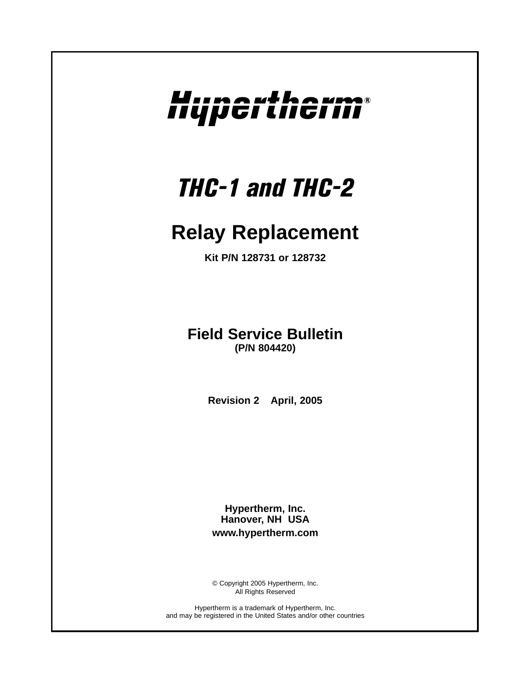# Hupertherm®

## *THC-1 and THC-2*

### **Relay Replacement**

**Kit P/N 128731 or 128732**

**Field Service Bulletin (P/N 804420)**

**Revision 2 April, 2005**

**Hypertherm, Inc. Hanover, NH USA www.hypertherm.com**

© Copyright 2005 Hypertherm, Inc. All Rights Reserved

Hypertherm is a trademark of Hypertherm, Inc. and may be registered in the United States and/or other countries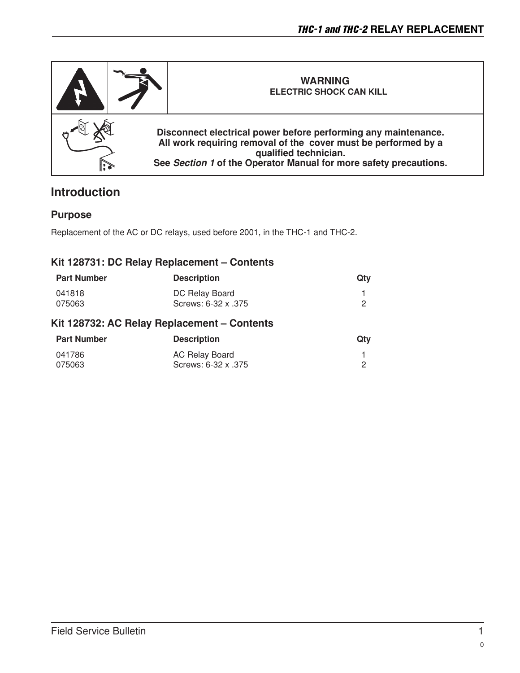

#### **Introduction**

#### **Purpose**

Replacement of the AC or DC relays, used before 2001, in the THC-1 and THC-2.

#### **Kit 128731: DC Relay Replacement – Contents**

| <b>Part Number</b> | <b>Description</b>                          | Qtv |
|--------------------|---------------------------------------------|-----|
| 041818             | DC Relay Board                              |     |
| 075063             | Screws: 6-32 x .375                         | 2   |
|                    | Kit 128732: AC Relay Replacement – Contents |     |
| <b>Part Number</b> | <b>Description</b>                          | Qtv |

| Part Number | <b>Description</b>  | WIV |
|-------------|---------------------|-----|
| 041786      | AC Relay Board      |     |
| 075063      | Screws: 6-32 x .375 |     |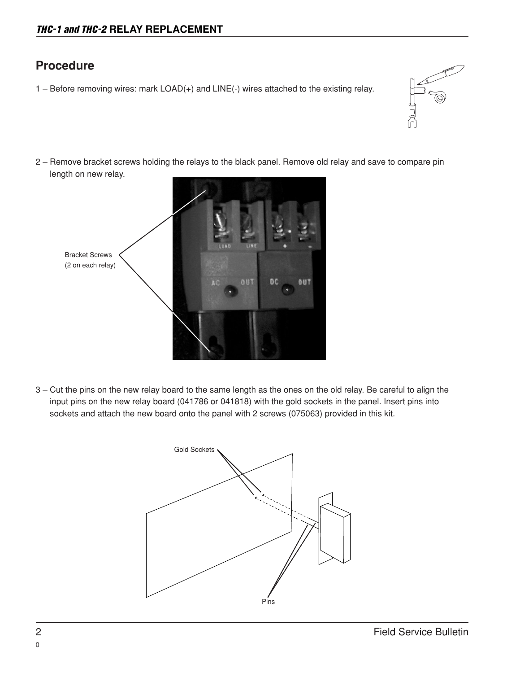#### **Procedure**

1 – Before removing wires: mark LOAD(+) and LINE(-) wires attached to the existing relay.



2 – Remove bracket screws holding the relays to the black panel. Remove old relay and save to compare pin length on new relay.



3 – Cut the pins on the new relay board to the same length as the ones on the old relay. Be careful to align the input pins on the new relay board (041786 or 041818) with the gold sockets in the panel. Insert pins into sockets and attach the new board onto the panel with 2 screws (075063) provided in this kit.